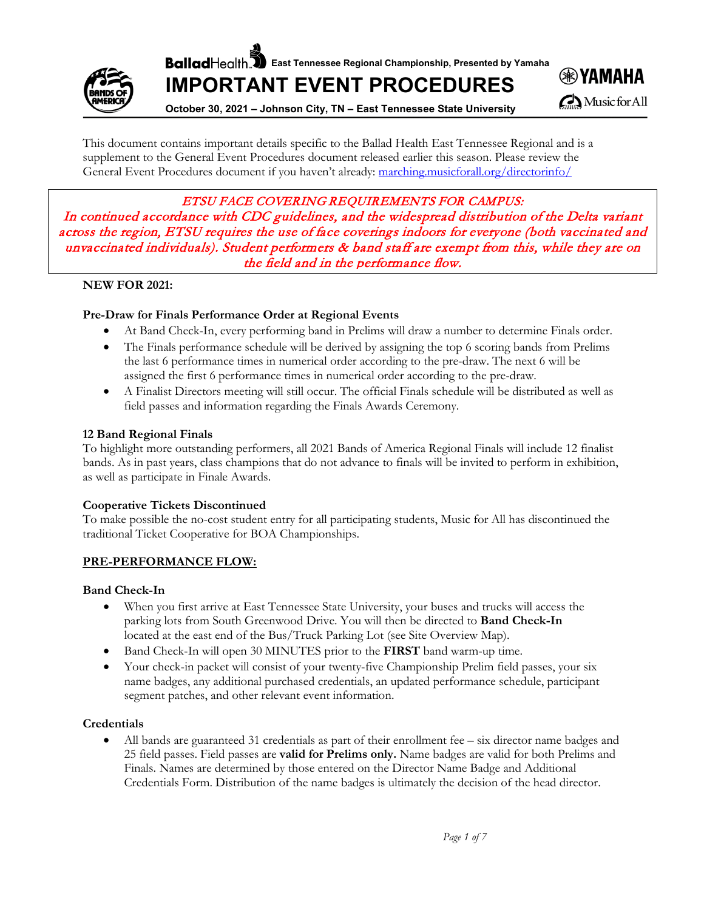**Ballad** Health, **E** East Tennessee Regional Championship, Presented by Yamaha



**IMPORTANT EVENT PROCEDURES**



**October 30, 2021 – Johnson City, TN – East Tennessee State University**

This document contains important details specific to the Ballad Health East Tennessee Regional and is a supplement to the General Event Procedures document released earlier this season. Please review the General Event Procedures document if you haven't already: [marching.musicforall.org/directorinfo/](https://marching.musicforall.org/directorinfo/)

ETSU FACE COVERING REQUIREMENTS FOR CAMPUS:

In continued accordance with CDC guidelines, and the widespread distribution of the Delta variant across the region, ETSU requires the use of face coverings indoors for everyone (both vaccinated and unvaccinated individuals). Student performers & band staff are exempt from this, while they are on the field and in the performance flow.

## **NEW FOR 2021:**

## **Pre-Draw for Finals Performance Order at Regional Events**

- At Band Check-In, every performing band in Prelims will draw a number to determine Finals order.
- The Finals performance schedule will be derived by assigning the top 6 scoring bands from Prelims the last 6 performance times in numerical order according to the pre-draw. The next 6 will be assigned the first 6 performance times in numerical order according to the pre-draw.
- A Finalist Directors meeting will still occur. The official Finals schedule will be distributed as well as field passes and information regarding the Finals Awards Ceremony.

## **12 Band Regional Finals**

To highlight more outstanding performers, all 2021 Bands of America Regional Finals will include 12 finalist bands. As in past years, class champions that do not advance to finals will be invited to perform in exhibition, as well as participate in Finale Awards.

## **Cooperative Tickets Discontinued**

To make possible the no-cost student entry for all participating students, Music for All has discontinued the traditional Ticket Cooperative for BOA Championships.

# **PRE-PERFORMANCE FLOW:**

## **Band Check-In**

- When you first arrive at East Tennessee State University, your buses and trucks will access the parking lots from South Greenwood Drive. You will then be directed to **Band Check-In** located at the east end of the Bus/Truck Parking Lot (see Site Overview Map).
- Band Check-In will open 30 MINUTES prior to the **FIRST** band warm-up time.
- Your check-in packet will consist of your twenty-five Championship Prelim field passes, your six name badges, any additional purchased credentials, an updated performance schedule, participant segment patches, and other relevant event information.

## **Credentials**

• All bands are guaranteed 31 credentials as part of their enrollment fee – six director name badges and 25 field passes. Field passes are **valid for Prelims only.** Name badges are valid for both Prelims and Finals. Names are determined by those entered on the Director Name Badge and Additional Credentials Form. Distribution of the name badges is ultimately the decision of the head director.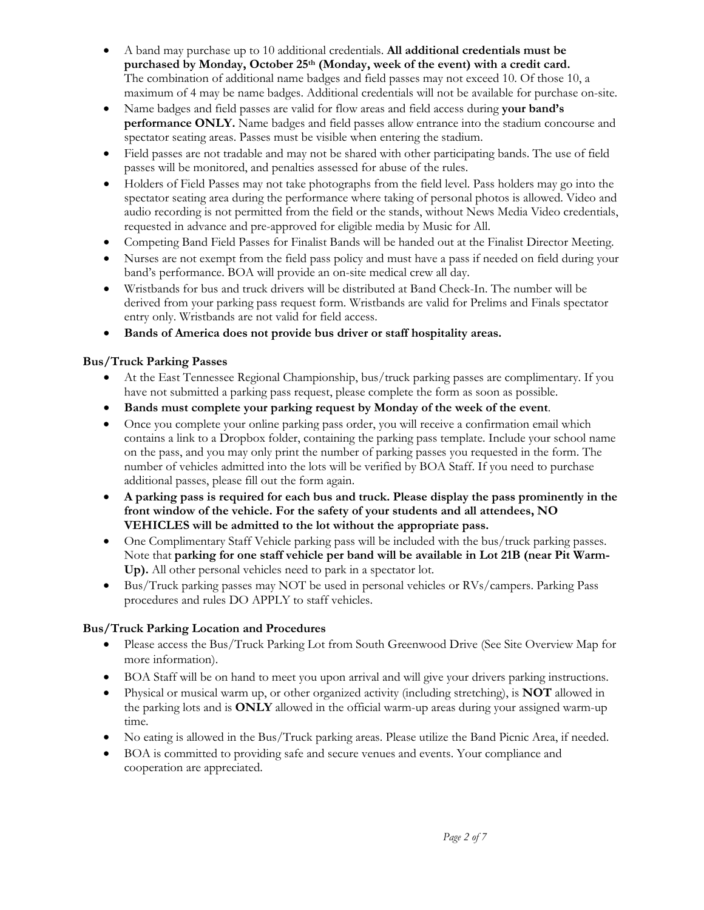- A band may purchase up to 10 additional credentials. **All additional credentials must be purchased by Monday, October 25th (Monday, week of the event) with a credit card.** The combination of additional name badges and field passes may not exceed 10. Of those 10, a maximum of 4 may be name badges. Additional credentials will not be available for purchase on-site.
- Name badges and field passes are valid for flow areas and field access during **your band's performance ONLY.** Name badges and field passes allow entrance into the stadium concourse and spectator seating areas. Passes must be visible when entering the stadium.
- Field passes are not tradable and may not be shared with other participating bands. The use of field passes will be monitored, and penalties assessed for abuse of the rules.
- Holders of Field Passes may not take photographs from the field level. Pass holders may go into the spectator seating area during the performance where taking of personal photos is allowed. Video and audio recording is not permitted from the field or the stands, without News Media Video credentials, requested in advance and pre-approved for eligible media by Music for All.
- Competing Band Field Passes for Finalist Bands will be handed out at the Finalist Director Meeting.
- Nurses are not exempt from the field pass policy and must have a pass if needed on field during your band's performance. BOA will provide an on-site medical crew all day.
- Wristbands for bus and truck drivers will be distributed at Band Check-In. The number will be derived from your parking pass request form. Wristbands are valid for Prelims and Finals spectator entry only. Wristbands are not valid for field access.
- **Bands of America does not provide bus driver or staff hospitality areas.**

# **Bus/Truck Parking Passes**

- At the East Tennessee Regional Championship, bus/truck parking passes are complimentary. If you have not submitted a parking pass request, please complete the form as soon as possible.
- **Bands must complete your parking request by Monday of the week of the event**.
- Once you complete your online parking pass order, you will receive a confirmation email which contains a link to a Dropbox folder, containing the parking pass template. Include your school name on the pass, and you may only print the number of parking passes you requested in the form. The number of vehicles admitted into the lots will be verified by BOA Staff. If you need to purchase additional passes, please fill out the form again.
- **A parking pass is required for each bus and truck. Please display the pass prominently in the front window of the vehicle. For the safety of your students and all attendees, NO VEHICLES will be admitted to the lot without the appropriate pass.**
- One Complimentary Staff Vehicle parking pass will be included with the bus/truck parking passes. Note that **parking for one staff vehicle per band will be available in Lot 21B (near Pit Warm-Up).** All other personal vehicles need to park in a spectator lot.
- Bus/Truck parking passes may NOT be used in personal vehicles or RVs/campers. Parking Pass procedures and rules DO APPLY to staff vehicles.

# **Bus/Truck Parking Location and Procedures**

- Please access the Bus/Truck Parking Lot from South Greenwood Drive (See Site Overview Map for more information).
- BOA Staff will be on hand to meet you upon arrival and will give your drivers parking instructions.
- Physical or musical warm up, or other organized activity (including stretching), is **NOT** allowed in the parking lots and is **ONLY** allowed in the official warm-up areas during your assigned warm-up time.
- No eating is allowed in the Bus/Truck parking areas. Please utilize the Band Picnic Area, if needed.
- BOA is committed to providing safe and secure venues and events. Your compliance and cooperation are appreciated.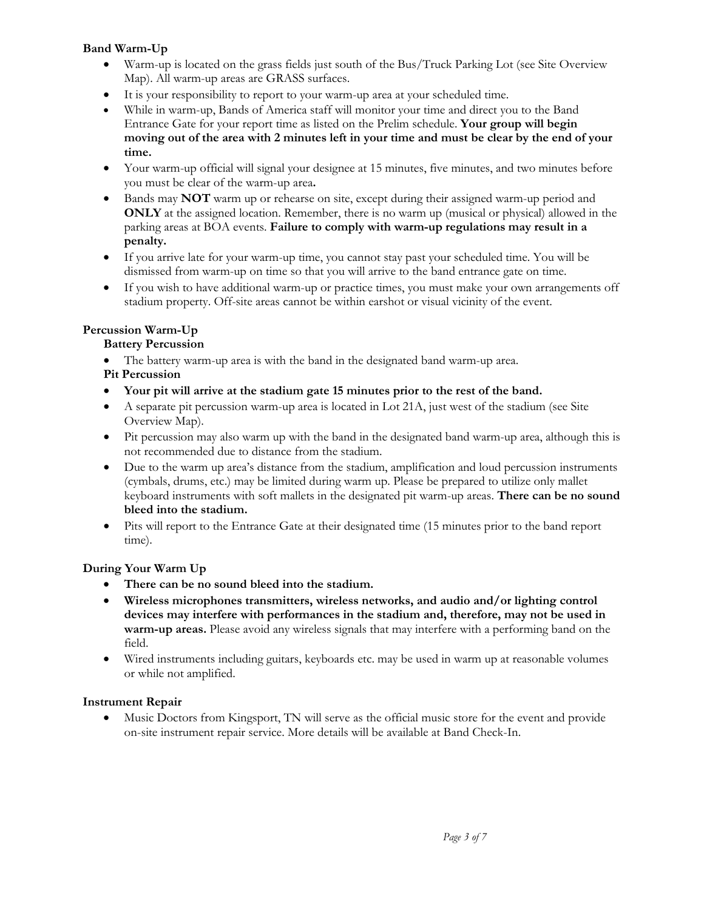# **Band Warm-Up**

- Warm-up is located on the grass fields just south of the Bus/Truck Parking Lot (see Site Overview Map). All warm-up areas are GRASS surfaces.
- It is your responsibility to report to your warm-up area at your scheduled time.
- While in warm-up, Bands of America staff will monitor your time and direct you to the Band Entrance Gate for your report time as listed on the Prelim schedule. **Your group will begin moving out of the area with 2 minutes left in your time and must be clear by the end of your time.**
- Your warm-up official will signal your designee at 15 minutes, five minutes, and two minutes before you must be clear of the warm-up area**.**
- Bands may **NOT** warm up or rehearse on site, except during their assigned warm-up period and **ONLY** at the assigned location. Remember, there is no warm up (musical or physical) allowed in the parking areas at BOA events. **Failure to comply with warm-up regulations may result in a penalty.**
- If you arrive late for your warm-up time, you cannot stay past your scheduled time. You will be dismissed from warm-up on time so that you will arrive to the band entrance gate on time.
- If you wish to have additional warm-up or practice times, you must make your own arrangements off stadium property. Off-site areas cannot be within earshot or visual vicinity of the event.

## **Percussion Warm-Up**

## **Battery Percussion**

- The battery warm-up area is with the band in the designated band warm-up area.
- **Pit Percussion**
- **Your pit will arrive at the stadium gate 15 minutes prior to the rest of the band.**
- A separate pit percussion warm-up area is located in Lot 21A, just west of the stadium (see Site Overview Map).
- Pit percussion may also warm up with the band in the designated band warm-up area, although this is not recommended due to distance from the stadium.
- Due to the warm up area's distance from the stadium, amplification and loud percussion instruments (cymbals, drums, etc.) may be limited during warm up. Please be prepared to utilize only mallet keyboard instruments with soft mallets in the designated pit warm-up areas. **There can be no sound bleed into the stadium.**
- Pits will report to the Entrance Gate at their designated time (15 minutes prior to the band report time).

# **During Your Warm Up**

- **There can be no sound bleed into the stadium.**
- **Wireless microphones transmitters, wireless networks, and audio and/or lighting control devices may interfere with performances in the stadium and, therefore, may not be used in warm-up areas.** Please avoid any wireless signals that may interfere with a performing band on the field.
- Wired instruments including guitars, keyboards etc. may be used in warm up at reasonable volumes or while not amplified.

## **Instrument Repair**

• Music Doctors from Kingsport, TN will serve as the official music store for the event and provide on-site instrument repair service. More details will be available at Band Check-In.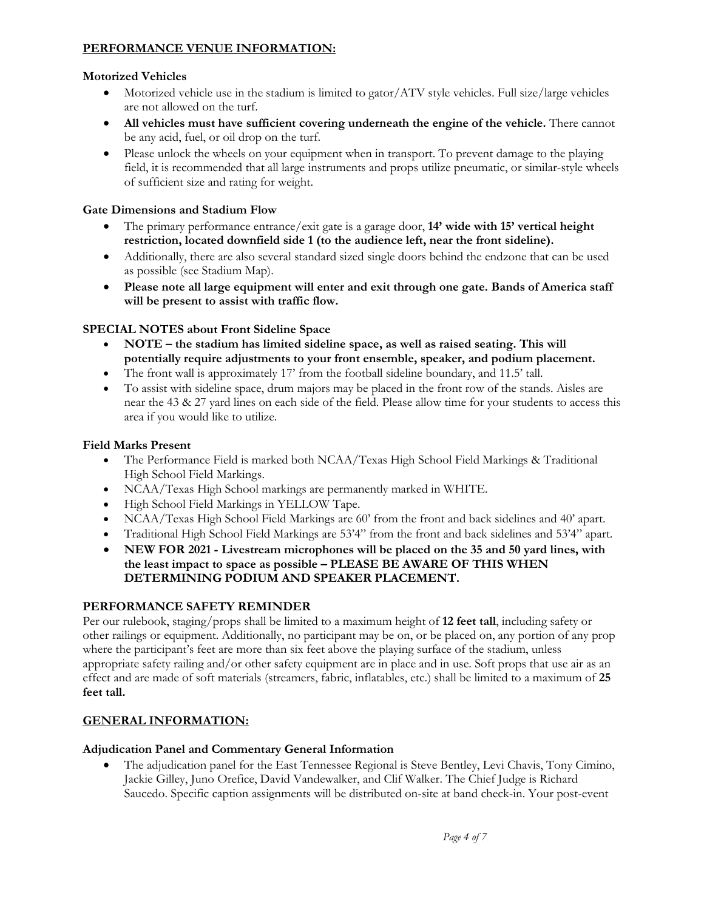# **PERFORMANCE VENUE INFORMATION:**

# **Motorized Vehicles**

- Motorized vehicle use in the stadium is limited to gator/ATV style vehicles. Full size/large vehicles are not allowed on the turf.
- **All vehicles must have sufficient covering underneath the engine of the vehicle.** There cannot be any acid, fuel, or oil drop on the turf.
- Please unlock the wheels on your equipment when in transport. To prevent damage to the playing field, it is recommended that all large instruments and props utilize pneumatic, or similar-style wheels of sufficient size and rating for weight.

# **Gate Dimensions and Stadium Flow**

- The primary performance entrance/exit gate is a garage door, **14' wide with 15' vertical height restriction, located downfield side 1 (to the audience left, near the front sideline).**
- Additionally, there are also several standard sized single doors behind the endzone that can be used as possible (see Stadium Map).
- **Please note all large equipment will enter and exit through one gate. Bands of America staff will be present to assist with traffic flow.**

# **SPECIAL NOTES about Front Sideline Space**

- **NOTE – the stadium has limited sideline space, as well as raised seating. This will potentially require adjustments to your front ensemble, speaker, and podium placement.**
- The front wall is approximately 17' from the football sideline boundary, and 11.5' tall.
- To assist with sideline space, drum majors may be placed in the front row of the stands. Aisles are near the 43 & 27 yard lines on each side of the field. Please allow time for your students to access this area if you would like to utilize.

# **Field Marks Present**

- The Performance Field is marked both NCAA/Texas High School Field Markings & Traditional High School Field Markings.
- NCAA/Texas High School markings are permanently marked in WHITE.
- High School Field Markings in YELLOW Tape.
- NCAA/Texas High School Field Markings are 60' from the front and back sidelines and 40' apart.
- Traditional High School Field Markings are 53'4" from the front and back sidelines and 53'4" apart.
- **NEW FOR 2021 - Livestream microphones will be placed on the 35 and 50 yard lines, with the least impact to space as possible – PLEASE BE AWARE OF THIS WHEN DETERMINING PODIUM AND SPEAKER PLACEMENT.**

# **PERFORMANCE SAFETY REMINDER**

Per our rulebook, staging/props shall be limited to a maximum height of **12 feet tall**, including safety or other railings or equipment. Additionally, no participant may be on, or be placed on, any portion of any prop where the participant's feet are more than six feet above the playing surface of the stadium, unless appropriate safety railing and/or other safety equipment are in place and in use. Soft props that use air as an effect and are made of soft materials (streamers, fabric, inflatables, etc.) shall be limited to a maximum of **25 feet tall.**

# **GENERAL INFORMATION:**

## **Adjudication Panel and Commentary General Information**

• The adjudication panel for the East Tennessee Regional is Steve Bentley, Levi Chavis, Tony Cimino, Jackie Gilley, Juno Orefice, David Vandewalker, and Clif Walker. The Chief Judge is Richard Saucedo. Specific caption assignments will be distributed on-site at band check-in. Your post-event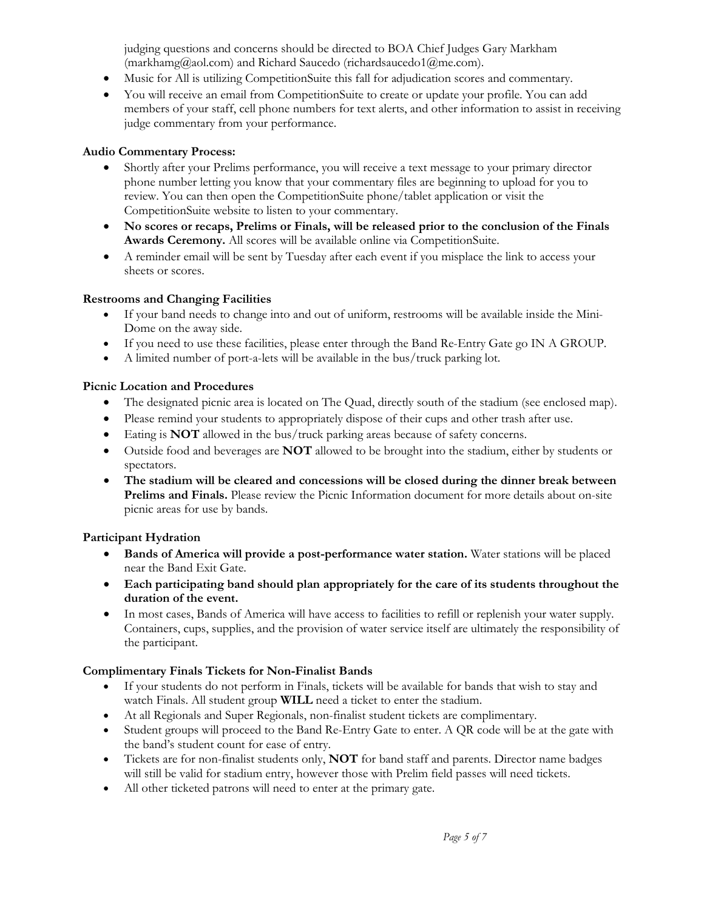judging questions and concerns should be directed to BOA Chief Judges Gary Markham (markhamg@aol.com) and Richard Saucedo (richardsaucedo1@me.com).

- Music for All is utilizing CompetitionSuite this fall for adjudication scores and commentary.
- You will receive an email from CompetitionSuite to create or update your profile. You can add members of your staff, cell phone numbers for text alerts, and other information to assist in receiving judge commentary from your performance.

## **Audio Commentary Process:**

- Shortly after your Prelims performance, you will receive a text message to your primary director phone number letting you know that your commentary files are beginning to upload for you to review. You can then open the CompetitionSuite phone/tablet application or visit the CompetitionSuite website to listen to your commentary.
- **No scores or recaps, Prelims or Finals, will be released prior to the conclusion of the Finals Awards Ceremony.** All scores will be available online via CompetitionSuite.
- A reminder email will be sent by Tuesday after each event if you misplace the link to access your sheets or scores.

## **Restrooms and Changing Facilities**

- If your band needs to change into and out of uniform, restrooms will be available inside the Mini-Dome on the away side.
- If you need to use these facilities, please enter through the Band Re-Entry Gate go IN A GROUP.
- A limited number of port-a-lets will be available in the bus/truck parking lot.

## **Picnic Location and Procedures**

- The designated picnic area is located on The Quad, directly south of the stadium (see enclosed map).
- Please remind your students to appropriately dispose of their cups and other trash after use.
- Eating is **NOT** allowed in the bus/truck parking areas because of safety concerns.
- Outside food and beverages are **NOT** allowed to be brought into the stadium, either by students or spectators.
- **The stadium will be cleared and concessions will be closed during the dinner break between Prelims and Finals.** Please review the Picnic Information document for more details about on-site picnic areas for use by bands.

# **Participant Hydration**

- **Bands of America will provide a post-performance water station.** Water stations will be placed near the Band Exit Gate.
- **Each participating band should plan appropriately for the care of its students throughout the duration of the event.**
- In most cases, Bands of America will have access to facilities to refill or replenish your water supply. Containers, cups, supplies, and the provision of water service itself are ultimately the responsibility of the participant.

## **Complimentary Finals Tickets for Non-Finalist Bands**

- If your students do not perform in Finals, tickets will be available for bands that wish to stay and watch Finals. All student group **WILL** need a ticket to enter the stadium.
- At all Regionals and Super Regionals, non-finalist student tickets are complimentary.
- Student groups will proceed to the Band Re-Entry Gate to enter. A QR code will be at the gate with the band's student count for ease of entry.
- Tickets are for non-finalist students only, **NOT** for band staff and parents. Director name badges will still be valid for stadium entry, however those with Prelim field passes will need tickets.
- All other ticketed patrons will need to enter at the primary gate.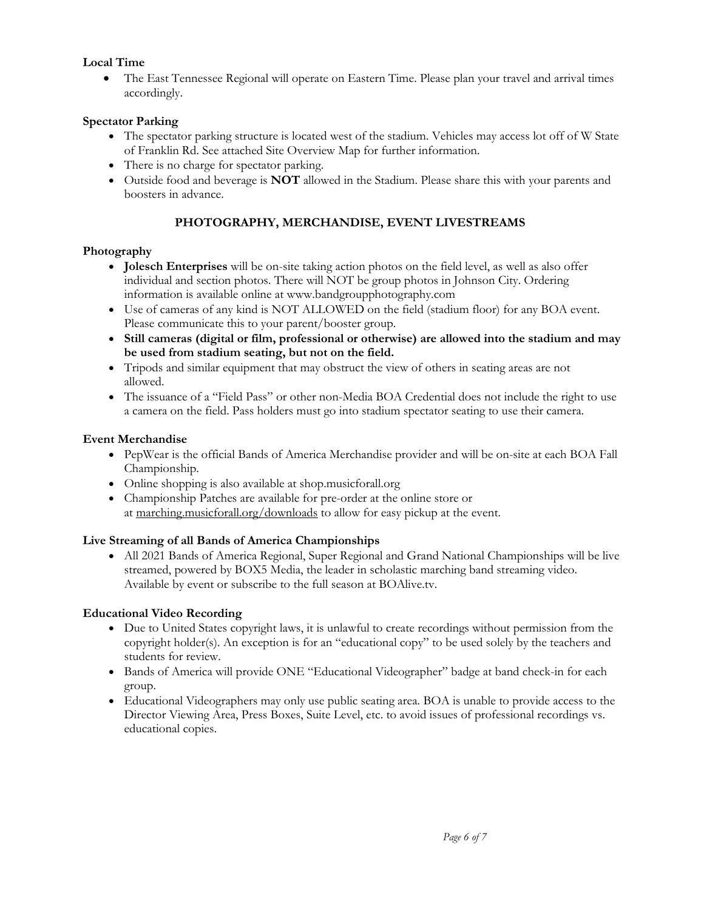# **Local Time**

• The East Tennessee Regional will operate on Eastern Time. Please plan your travel and arrival times accordingly.

# **Spectator Parking**

- The spectator parking structure is located west of the stadium. Vehicles may access lot off of W State of Franklin Rd. See attached Site Overview Map for further information.
- There is no charge for spectator parking.
- Outside food and beverage is **NOT** allowed in the Stadium. Please share this with your parents and boosters in advance.

# **PHOTOGRAPHY, MERCHANDISE, EVENT LIVESTREAMS**

# **Photography**

- **Jolesch Enterprises** will be on-site taking action photos on the field level, as well as also offer individual and section photos. There will NOT be group photos in Johnson City. Ordering information is available online at www.bandgroupphotography.com
- Use of cameras of any kind is NOT ALLOWED on the field (stadium floor) for any BOA event. Please communicate this to your parent/booster group.
- **Still cameras (digital or film, professional or otherwise) are allowed into the stadium and may be used from stadium seating, but not on the field.**
- Tripods and similar equipment that may obstruct the view of others in seating areas are not allowed.
- The issuance of a "Field Pass" or other non-Media BOA Credential does not include the right to use a camera on the field. Pass holders must go into stadium spectator seating to use their camera.

# **Event Merchandise**

- PepWear is the official Bands of America Merchandise provider and will be on-site at each BOA Fall Championship.
- Online shopping is also available at shop.musicforall.org
- Championship Patches are available for pre-order at the online store or at [marching.musicforall.org/downloads](http://marching.musicforall.org/downloads) to allow for easy pickup at the event.

# **Live Streaming of all Bands of America Championships**

• All 2021 Bands of America Regional, Super Regional and Grand National Championships will be live streamed, powered by BOX5 Media, the leader in scholastic marching band streaming video. Available by event or subscribe to the full season at BOAlive.tv.

# **Educational Video Recording**

- Due to United States copyright laws, it is unlawful to create recordings without permission from the copyright holder(s). An exception is for an "educational copy" to be used solely by the teachers and students for review.
- Bands of America will provide ONE "Educational Videographer" badge at band check-in for each group.
- Educational Videographers may only use public seating area. BOA is unable to provide access to the Director Viewing Area, Press Boxes, Suite Level, etc. to avoid issues of professional recordings vs. educational copies.